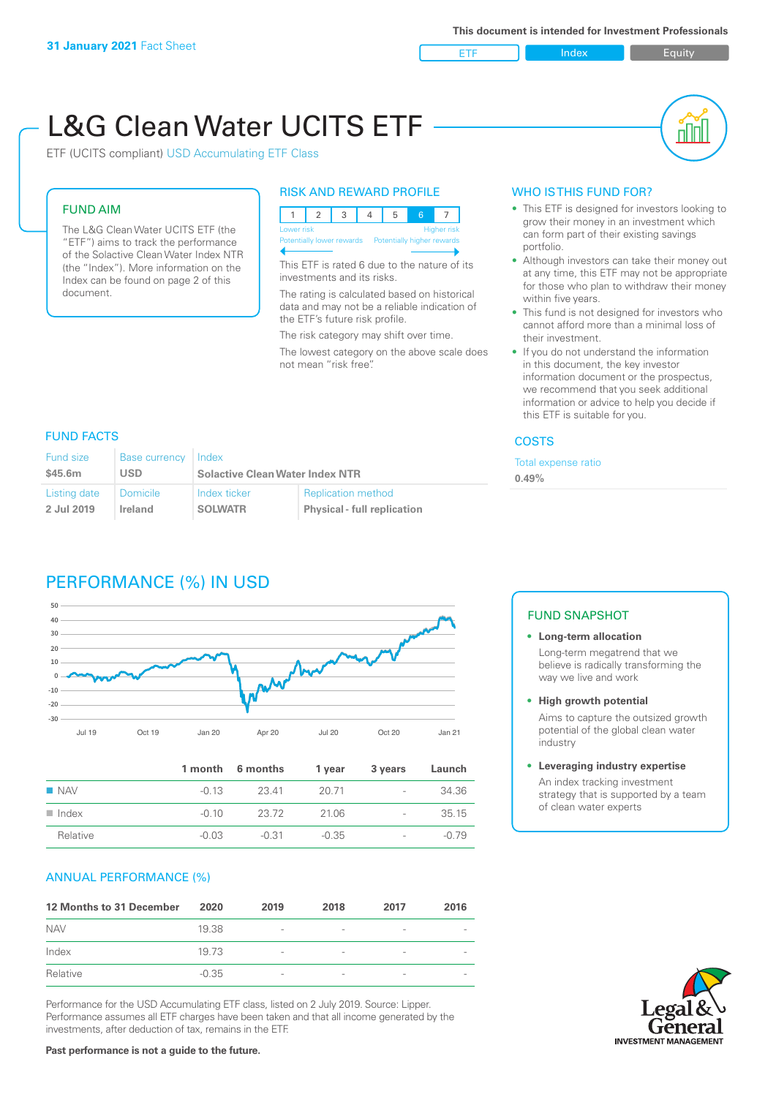

пIП

# L&G Clean Water UCITS ETF

ETF (UCITS compliant) USD Accumulating ETF Class

### FUND AIM

The L&G Clean Water UCITS ETF (the "ETF") aims to track the performance of the Solactive Clean Water Index NTR (the "Index"). More information on the Index can be found on page 2 of this document.

### RISK AND REWARD PROFILE



This ETF is rated 6 due to the nature of its investments and its risks.

The rating is calculated based on historical data and may not be a reliable indication of the ETF's future risk profile.

The risk category may shift over time.

The lowest category on the above scale does not mean "risk free".

### WHO IS THIS FUND FOR?

- This ETF is designed for investors looking to grow their money in an investment which can form part of their existing savings portfolio.
- Although investors can take their money out at any time, this ETF may not be appropriate for those who plan to withdraw their money within five years.
- This fund is not designed for investors who cannot afford more than a minimal loss of their investment.
- If you do not understand the information in this document, the key investor information document or the prospectus, we recommend that you seek additional information or advice to help you decide if this ETF is suitable for you.

### **COSTS**

expense ratio

### FUND FACTS

| Fund size                                                | <b>Base currency</b> | Index                                  |                                                                 | Total e: |
|----------------------------------------------------------|----------------------|----------------------------------------|-----------------------------------------------------------------|----------|
| \$45.6m                                                  | USD                  | <b>Solactive Clean Water Index NTR</b> |                                                                 | 0.49%    |
| Listing date<br><b>Domicile</b><br>2 Jul 2019<br>Ireland |                      | Index ticker<br><b>SOLWATR</b>         | <b>Replication method</b><br><b>Physical - full replication</b> |          |

### PERFORMANCE (%) IN USD



|                      |         | 1 month 6 months | 1 year | 3 years                  | Launch  |
|----------------------|---------|------------------|--------|--------------------------|---------|
| $\blacksquare$ NAV   | $-0.13$ | 23.41            | 20.71  | $\overline{\phantom{a}}$ | 34.36   |
| $\blacksquare$ Index | $-0.10$ | 23.72            | 21.06  | $\overline{\phantom{a}}$ | 35.15   |
| Relative             | $-0.03$ | -0.31            | -0.35  | $\overline{\phantom{a}}$ | $-0.79$ |

### ANNUAL PERFORMANCE (%)

| 12 Months to 31 December | 2020    | 2019                     | 2018                     | 2017            | 2016 |
|--------------------------|---------|--------------------------|--------------------------|-----------------|------|
| <b>NAV</b>               | 19.38   | $\overline{\phantom{a}}$ |                          |                 |      |
| Index                    | 19.73   | $\overline{\phantom{a}}$ | $\overline{\phantom{a}}$ | $\qquad \qquad$ |      |
| Relative                 | $-0.35$ | $\overline{\phantom{a}}$ |                          |                 |      |

Performance for the USD Accumulating ETF class, listed on 2 July 2019. Source: Lipper. Performance assumes all ETF charges have been taken and that all income generated by the investments, after deduction of tax, remains in the ETF.

### FUND SNAPSHOT

### **• Long-term allocation** Long-term megatrend that we believe is radically transforming the way we live and work

**• High growth potential**

Aims to capture the outsized growth potential of the global clean water industry

### **• Leveraging industry expertise**

An index tracking investment strategy that is supported by a team of clean water experts

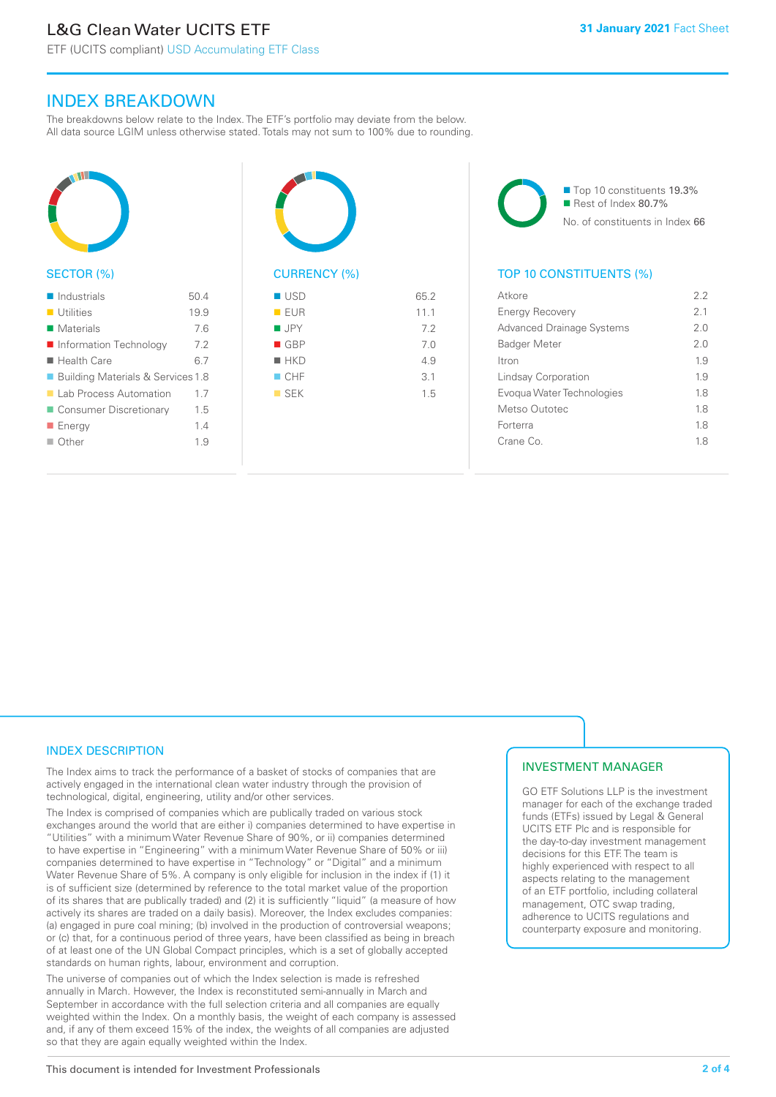ETF (UCITS compliant) USD Accumulating ETF Class

### INDEX BREAKDOWN

The breakdowns below relate to the Index. The ETF's portfolio may deviate from the below. All data source LGIM unless otherwise stated. Totals may not sum to 100% due to rounding.



### SECTOR (%)

| $\blacksquare$ Industrials          | 50.4 |
|-------------------------------------|------|
| $\blacksquare$ Utilities            | 19.9 |
| Materials                           | 7.6  |
| ■ Information Technology            | 7.2  |
| $\blacksquare$ Health Care          | 6.7  |
| ■ Building Materials & Services 1.8 |      |
| Lab Process Automation              | 17   |
| Consumer Discretionary              | 1.5  |
| ■ Energy                            | 1.4  |
| $\Box$ Other                        | 1.9  |
|                                     |      |



## $\blacksquare$  USD 65.2

| EUR           | 11.1 |
|---------------|------|
| <b>JPY</b>    | 7.2  |
| GBP           | 7.0  |
| $H$ HKD       | 4.9  |
| CHF           | 3.1  |
| $\square$ SEK | 1.5  |
|               |      |
|               |      |

■ Top 10 constituents 19.3% Rest of Index 80.7% No. of constituents in Index 66

### TOP 10 CONSTITUENTS (%)

| Atkore                           | 22             |
|----------------------------------|----------------|
| <b>Energy Recovery</b>           | 2 <sub>1</sub> |
| <b>Advanced Drainage Systems</b> | 20             |
| <b>Badger Meter</b>              | 20             |
| <b>Itron</b>                     | 1.9            |
| Lindsay Corporation              | 19             |
| Evogua Water Technologies        | 18             |
| Metso Outotec                    | 18             |
| Forterra                         | 18             |
| Crane Co                         | 18             |
|                                  |                |

### INDEX DESCRIPTION

The Index aims to track the performance of a basket of stocks of companies that are actively engaged in the international clean water industry through the provision of technological, digital, engineering, utility and/or other services.

The Index is comprised of companies which are publically traded on various stock exchanges around the world that are either i) companies determined to have expertise in "Utilities" with a minimum Water Revenue Share of 90%, or ii) companies determined to have expertise in "Engineering" with a minimum Water Revenue Share of 50% or iii) companies determined to have expertise in "Technology" or "Digital" and a minimum Water Revenue Share of 5%. A company is only eligible for inclusion in the index if (1) it is of sufficient size (determined by reference to the total market value of the proportion of its shares that are publically traded) and (2) it is sufficiently "liquid" (a measure of how actively its shares are traded on a daily basis). Moreover, the Index excludes companies: (a) engaged in pure coal mining; (b) involved in the production of controversial weapons; or (c) that, for a continuous period of three years, have been classified as being in breach of at least one of the UN Global Compact principles, which is a set of globally accepted standards on human rights, labour, environment and corruption.

The universe of companies out of which the Index selection is made is refreshed annually in March. However, the Index is reconstituted semi-annually in March and September in accordance with the full selection criteria and all companies are equally weighted within the Index. On a monthly basis, the weight of each company is assessed and, if any of them exceed 15% of the index, the weights of all companies are adjusted so that they are again equally weighted within the Index.

### INVESTMENT MANAGER

GO ETF Solutions LLP is the investment manager for each of the exchange traded funds (ETFs) issued by Legal & General UCITS ETF Plc and is responsible for the day-to-day investment management decisions for this ETF. The team is highly experienced with respect to all aspects relating to the management of an ETF portfolio, including collateral management, OTC swap trading, adherence to UCITS regulations and counterparty exposure and monitoring.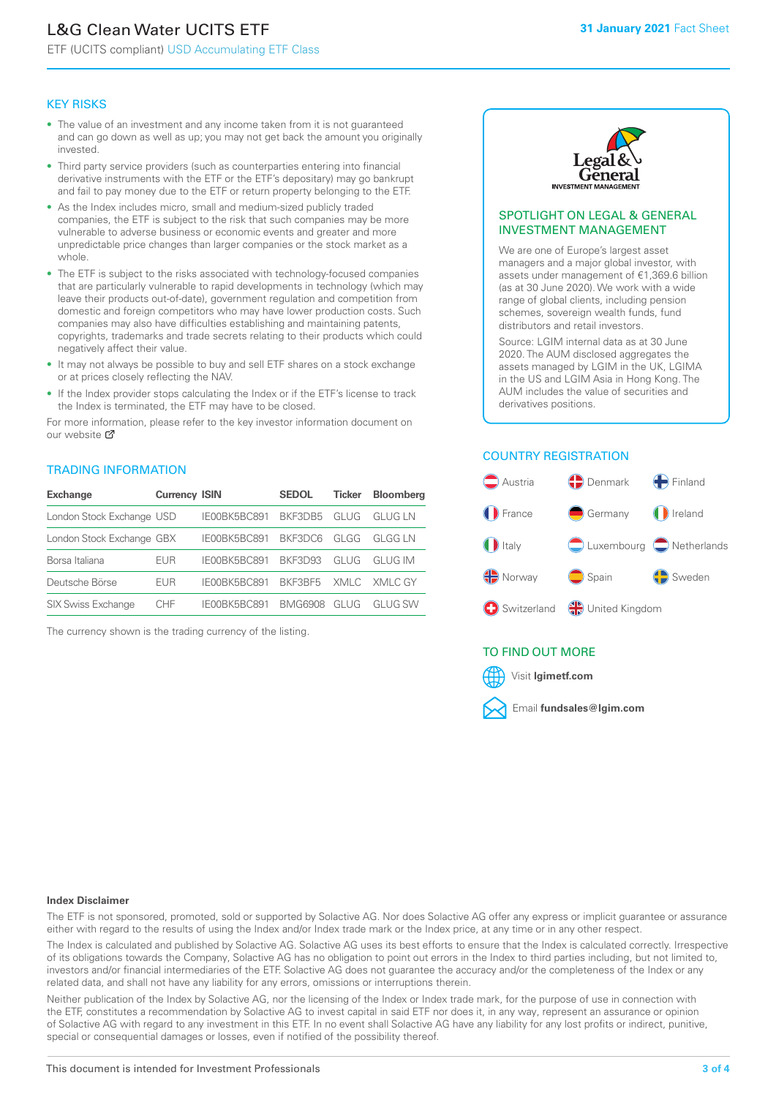## L&G Clean Water UCITS ETF

ETF (UCITS compliant) USD Accumulating ETF Class

### KEY RISKS

- The value of an investment and any income taken from it is not guaranteed and can go down as well as up; you may not get back the amount you originally invested.
- Third party service providers (such as counterparties entering into financial derivative instruments with the ETF or the ETF's depositary) may go bankrupt and fail to pay money due to the ETF or return property belonging to the ETF.
- As the Index includes micro, small and medium-sized publicly traded companies, the ETF is subject to the risk that such companies may be more vulnerable to adverse business or economic events and greater and more unpredictable price changes than larger companies or the stock market as a whole.
- The ETF is subject to the risks associated with technology-focused companies that are particularly vulnerable to rapid developments in technology (which may leave their products out-of-date), government regulation and competition from domestic and foreign competitors who may have lower production costs. Such companies may also have difficulties establishing and maintaining patents, copyrights, trademarks and trade secrets relating to their products which could negatively affect their value.
- It may not always be possible to buy and sell ETF shares on a stock exchange or at prices closely reflecting the NAV.
- If the Index provider stops calculating the Index or if the ETF's license to track the Index is terminated, the ETF may have to be closed.

For more in[form](https://www.lgimetf.com/)ation, please refer to the key investor information document on our website Ø

### TRADING INFORMATION

| <b>Exchange</b>           | <b>Currency ISIN</b> |              | <b>SEDOL</b>   | <b>Ticker</b> | <b>Bloomberg</b> |
|---------------------------|----------------------|--------------|----------------|---------------|------------------|
| London Stock Exchange USD |                      | IE00BK5BC891 | BKF3DB5        | GLUG          | GI UG I N        |
| London Stock Exchange GBX |                      | IE00BK5BC891 | BKF3DC6        | GLGG          | GLGG LN          |
| Borsa Italiana            | EUR                  | IE00BK5BC891 | <b>BKF3D93</b> | GLUG          | GI UG IM         |
| Deutsche Börse            | EUR                  | IE00BK5BC891 | BKE3BE5        |               | XMLC XMLC GY     |
| <b>SIX Swiss Exchange</b> | CHE                  | IF00BK5BC891 | <b>BMG6908</b> | GI UG         | GI UG SW         |

The currency shown is the trading currency of the listing.



### SPOTLIGHT ON LEGAL & GENERAL INVESTMENT MANAGEMENT

We are one of Europe's largest asset managers and a major global investor, with assets under management of €1,369.6 billion (as at 30 June 2020). We work with a wide range of global clients, including pension schemes, sovereign wealth funds, fund distributors and retail investors.

Source: LGIM internal data as at 30 June 2020. The AUM disclosed aggregates the assets managed by LGIM in the UK, LGIMA in the US and LGIM Asia in Hong Kong. The AUM includes the value of securities and derivatives positions.

### COUNTRY REGISTRATION



### TO FIND OUT MORE



### **Index Disclaimer**

The ETF is not sponsored, promoted, sold or supported by Solactive AG. Nor does Solactive AG offer any express or implicit guarantee or assurance either with regard to the results of using the Index and/or Index trade mark or the Index price, at any time or in any other respect.

The Index is calculated and published by Solactive AG. Solactive AG uses its best efforts to ensure that the Index is calculated correctly. Irrespective of its obligations towards the Company, Solactive AG has no obligation to point out errors in the Index to third parties including, but not limited to, investors and/or financial intermediaries of the ETF. Solactive AG does not guarantee the accuracy and/or the completeness of the Index or any related data, and shall not have any liability for any errors, omissions or interruptions therein.

Neither publication of the Index by Solactive AG, nor the licensing of the Index or Index trade mark, for the purpose of use in connection with the ETF, constitutes a recommendation by Solactive AG to invest capital in said ETF nor does it, in any way, represent an assurance or opinion of Solactive AG with regard to any investment in this ETF. In no event shall Solactive AG have any liability for any lost profits or indirect, punitive, special or consequential damages or losses, even if notified of the possibility thereof.